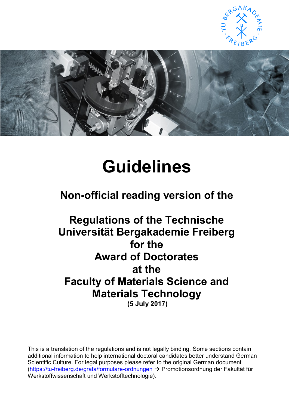



# **Guidelines**

# **Non-official reading version of the**

# **Regulations of the Technische Universität Bergakademie Freiberg for the Award of Doctorates at the Faculty of Materials Science and Materials Technology**

**(5 July 2017)**

This is a translation of the regulations and is not legally binding. Some sections contain additional information to help international doctoral candidates better understand German Scientific Culture. For legal purposes please refer to the original German document [\(https://tu-freiberg.de/grafa/formulare-ordnungen](https://tu-freiberg.de/grafa/formulare-ordnungen) → Promotionsordnung der Fakultät für Werkstoffwissenschaft und Werkstofftechnologie).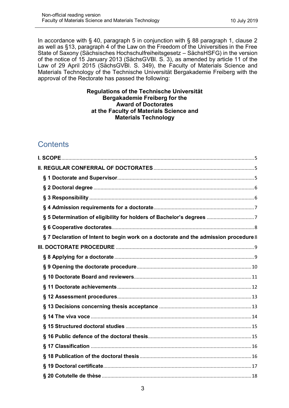In accordance with § 40, paragraph 5 in conjunction with § 88 paragraph 1, clause 2 as well as §13, paragraph 4 of the Law on the Freedom of the Universities in the Free State of Saxony (Sächsisches Hochschulfreiheitsgesetz – SächsHSFG) in the version of the notice of 15 January 2013 (SächsGVBl. S. 3), as amended by article 11 of the Law of 29 April 2015 (SächsGVBl. S. 349), the Faculty of Materials Science and Materials Technology of the Technische Universität Bergakademie Freiberg with the approval of the Rectorate has passed the following:

#### **Regulations of the Technische Universität Bergakademie Freiberg for the Award of Doctorates at the Faculty of Materials Science and Materials Technology**

# **Contents**

| § 7 Declaration of Intent to begin work on a doctorate and the admission procedure 8 |
|--------------------------------------------------------------------------------------|
|                                                                                      |
|                                                                                      |
|                                                                                      |
|                                                                                      |
|                                                                                      |
|                                                                                      |
|                                                                                      |
|                                                                                      |
|                                                                                      |
|                                                                                      |
|                                                                                      |
|                                                                                      |
|                                                                                      |
|                                                                                      |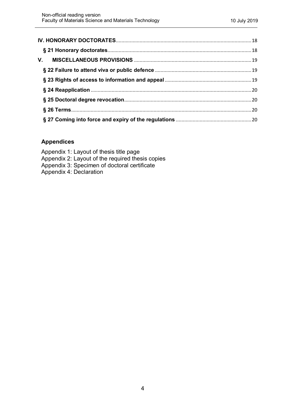#### **Appendices**

Appendix 1: Layout of thesis title page Appendix 2: Layout of the required thesis copies Appendix 3: Specimen of doctoral certificate Appendix 4: Declaration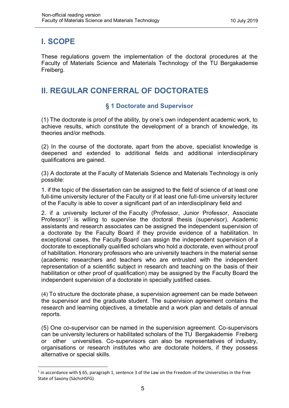# <span id="page-3-0"></span>**I. SCOPE**

 $\overline{\phantom{a}}$ 

These regulations govern the implementation of the doctoral procedures at the Faculty of Materials Science and Materials Technology of the TU Bergakademie Freiberg.

# <span id="page-3-2"></span><span id="page-3-1"></span>**II. REGULAR CONFERRAL OF DOCTORATES**

#### **§ 1 Doctorate and Supervisor**

(1) The doctorate is proof of the ability, by one's own independent academic work, to achieve results, which constitute the development of a branch of knowledge, its theories and/or methods.

(2) In the course of the doctorate, apart from the above, specialist knowledge is deepened and extended to additional fields and additional interdisciplinary qualifications are gained.

(3) A doctorate at the Faculty of Materials Science and Materials Technology is only possible:

1. if the topic of the dissertation can be assigned to the field of science of at least one full-time university lecturer of the Faculty or if at least one full-time university lecturer of the Faculty is able to cover a significant part of an interdisciplinary field and

2. if a university lecturer of the Faculty (Professor, Junior Professor, Associate Professor)<sup>1</sup> is willing to supervise the doctoral thesis (supervisor). Academic assistants and research associates can be assigned the independent supervision of a doctorate by the Faculty Board if they provide evidence of a habilitation. In exceptional cases, the Faculty Board can assign the independent supervision of a doctorate to exceptionally qualified scholars who hold a doctorate, even without proof of habilitation. Honorary professors who are university teachers in the material sense (academic researchers and teachers who are entrusted with the independent representation of a scientific subject in research and teaching on the basis of their habilitation or other proof of qualification) may be assigned by the Faculty Board the independent supervision of a doctorate in specially justified cases.

(4) To structure the doctorate phase, a supervision agreement can be made between the supervisor and the graduate student. The supervision agreement contains the research and learning objectives, a timetable and a work plan and details of annual reports.

(5) One co-supervisor can be named in the supervision agreement. Co-supervisors can be university lecturers or habilitated scholars of the TU Bergakademie Freiberg or other universities. Co-supervisors can also be representatives of industry, organisations or research institutes who are doctorate holders, if they possess alternative or special skills.

<sup>&</sup>lt;sup>1</sup> in accordance with § 65, paragraph 1, sentence 3 of the Law on the Freedom of the Universities in the Free State of Saxony (SächsHSFG)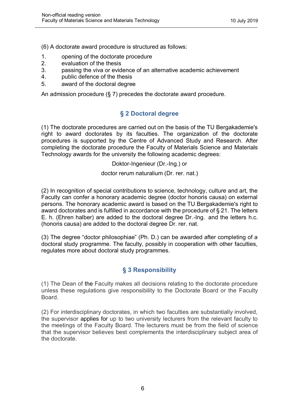(6) A doctorate award procedure is structured as follows:

- 1. opening of the doctorate procedure
- 2. evaluation of the thesis
- 3. passing the viva or evidence of an alternative academic achievement
- 4. public defence of the thesis
- 5. award of the doctoral degree

<span id="page-4-0"></span>An admission procedure (§ 7) precedes the doctorate award procedure.

#### **§ 2 Doctoral degree**

(1) The doctorate procedures are carried out on the basis of the TU Bergakademie's right to award doctorates by its faculties. The organization of the doctorate procedures is supported by the Centre of Advanced Study and Research. After completing the doctorate procedure the Faculty of Materials Science and Materials Technology awards for the university the following academic degrees:

Doktor-Ingenieur (Dr.-Ing.) or

doctor rerum naturalium (Dr. rer. nat.)

(2) In recognition of special contributions to science, technology, culture and art, the Faculty can confer a honorary academic degree (doctor honoris causa) on external persons. The honorary academic award is based on the TU Bergakademie's right to award doctorates and is fulfilled in accordance with the procedure of § 21. The letters E. h. (Ehren halber) are added to the doctoral degree Dr.-Ing. and the letters h.c. (honoris causa) are added to the doctoral degree Dr. rer. nat.

(3) The degree "doctor philosophiae" (Ph. D.) can be awarded after completing of a doctoral study programme. The faculty, possibly in cooperation with other faculties, regulates more about doctoral study programmes.

#### **§ 3 Responsibility**

<span id="page-4-1"></span>(1) The Dean of the Faculty makes all decisions relating to the doctorate procedure unless these regulations give responsibility to the Doctorate Board or the Faculty Board.

(2) For interdisciplinary doctorates, in which two faculties are substantially involved, the supervisor applies for up to two university lecturers from the relevant faculty to the meetings of the Faculty Board. The lecturers must be from the field of science that the supervisor believes best complements the interdisciplinary subject area of the doctorate.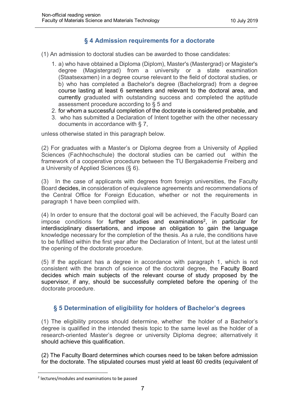#### **§ 4 Admission requirements for a doctorate**

<span id="page-5-0"></span>(1) An admission to doctoral studies can be awarded to those candidates:

- 1. a) who have obtained a Diploma (Diplom), Master's (Mastergrad) or Magister's degree (Magistergrad) from a university or a state examination (Staatsexamen) in a degree course relevant to the field of doctoral studies, or b) who has completed a Bachelor's degree (Bachelorgrad) from a degree course lasting at least 6 semesters and relevant to the doctoral area, and currently graduated with outstanding success and completed the aptitude assessment procedure according to § 5 and
- 2. for whom a successful completion of the doctorate is considered probable, and
- 3. who has submitted a Declaration of Intent together with the other necessary documents in accordance with § 7,

unless otherwise stated in this paragraph below.

(2) For graduates with a Master's or Diploma degree from a University of Applied Sciences (Fachhochschule) the doctoral studies can be carried out within the framework of a cooperative procedure between the TU Bergakademie Freiberg and a University of Applied Sciences (§ 6).

(3) In the case of applicants with degrees from foreign universities, the Faculty Board decides, in consideration of equivalence agreements and recommendations of the Central Office for Foreign Education, whether or not the requirements in paragraph 1 have been complied with.

(4) In order to ensure that the doctoral goal will be achieved, the Faculty Board can impose conditions for further studies and examinations<sup>2</sup>, in particular for interdisciplinary dissertations, and impose an obligation to gain the language knowledge necessary for the completion of the thesis. As a rule, the conditions have to be fulfilled within the first year after the Declaration of Intent, but at the latest until the opening of the doctorate procedure.

(5) If the applicant has a degree in accordance with paragraph 1, which is not consistent with the branch of science of the doctoral degree, the Faculty Board decides which main subjects of the relevant course of study proposed by the supervisor, if any, should be successfully completed before the opening of the doctorate procedure.

#### <span id="page-5-1"></span>**§ 5 Determination of eligibility for holders of Bachelor's degrees**

(1) The eligibility process should determine, whether the holder of a Bachelor's degree is qualified in the intended thesis topic to the same level as the holder of a research-oriented Master's degree or university Diploma degree; alternatively it should achieve this qualification.

(2) The Faculty Board determines which courses need to be taken before admission for the doctorate. The stipulated courses must yield at least 60 credits (equivalent of

 $\overline{a}$ <sup>2</sup> lectures/modules and examinations to be passed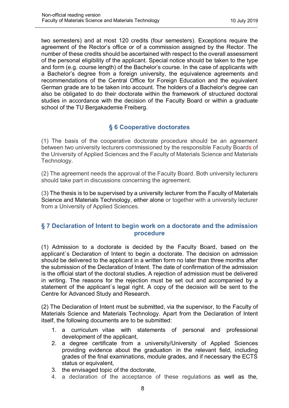two semesters) and at most 120 credits (four semesters). Exceptions require the agreement of the Rector's office or of a commission assigned by the Rector. The number of these credits should be ascertained with respect to the overall assessment of the personal eligibility of the applicant. Special notice should be taken to the type and form (e.g. course length) of the Bachelor's course. In the case of applicants with a Bachelor's degree from a foreign university, the equivalence agreements and recommendations of the Central Office for Foreign Education and the equivalent German grade are to be taken into account. The holders of a Bachelor's degree can also be obligated to do their doctorate within the framework of structured doctoral studies in accordance with the decision of the Faculty Board or within a graduate school of the TU Bergakademie Freiberg.

#### **§ 6 Cooperative doctorates**

<span id="page-6-0"></span>(1) The basis of the cooperative doctorate procedure should be an agreement between two university lecturers commissioned by the responsible Faculty Boards of the University of Applied Sciences and the Faculty of Materials Science and Materials Technology.

(2) The agreement needs the approval of the Faculty Board. Both university lecturers should take part in discussions concerning the agreement.

(3) The thesis is to be supervised by a university lecturer from the Faculty of Materials Science and Materials Technology, either alone or together with a university lecturer from a University of Applied Sciences.

#### <span id="page-6-1"></span>**§ 7 Declaration of Intent to begin work on a doctorate and the admission procedure**

(1) Admission to a doctorate is decided by the Faculty Board, based on the applicant`s Declaration of Intent to begin a doctorate. The decision on admission should be delivered to the applicant in a written form no later than three months after the submission of the Declaration of Intent. The date of confirmation of the admission is the official start of the doctoral studies. A rejection of admission must be delivered in writing. The reasons for the rejection must be set out and accompanied by a statement of the applicant`s legal right. A copy of the decision will be sent to the Centre for Advanced Study and Research.

(2) The Declaration of Intent must be submitted, via the supervisor, to the Faculty of Materials Science and Materials Technology. Apart from the Declaration of Intent itself, the following documents are to be submitted:

- 1. a curriculum vitae with statements of personal and professional development of the applicant,
- 2. a degree certificate from a university/University of Applied Sciences providing evidence about the graduation in the relevant field, including grades of the final examinations, module grades, and if necessary the ECTS status or equivalent,
- 3. the envisaged topic of the doctorate,
- 4. a declaration of the acceptance of these regulations as well as the,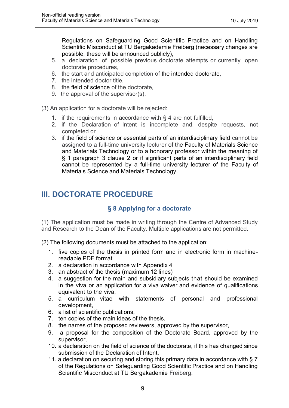Regulations on Safeguarding Good Scientific Practice and on Handling Scientific Misconduct at TU Bergakademie Freiberg (necessary changes are possible; these will be announced publicly),

- 5. a declaration of possible previous doctorate attempts or currently open doctorate procedures,
- 6. the start and anticipated completion of the intended doctorate,
- 7. the intended doctor title,
- 8. the field of science of the doctorate,
- 9. the approval of the supervisor(s).

(3) An application for a doctorate will be rejected:

- 1. if the requirements in accordance with § 4 are not fulfilled,
- 2. if the Declaration of Intent is incomplete and, despite requests, not completed or
- 3. if the field of science or essential parts of an interdisciplinary field cannot be assigned to a full-time university lecturer of the Faculty of Materials Science and Materials Technology or to a honorary professor within the meaning of § 1 paragraph 3 clause 2 or if significant parts of an interdisciplinary field cannot be represented by a full-time university lecturer of the Faculty of Materials Science and Materials Technology.

# <span id="page-7-1"></span><span id="page-7-0"></span>**III. DOCTORATE PROCEDURE**

#### **§ 8 Applying for a doctorate**

(1) The application must be made in writing through the Centre of Advanced Study and Research to the Dean of the Faculty. Multiple applications are not permitted.

(2) The following documents must be attached to the application:

- 1. five copies of the thesis in printed form and in electronic form in machinereadable PDF format
- 2. a declaration in accordance with Appendix 4
- 3. an abstract of the thesis (maximum 12 lines)
- 4. a suggestion for the main and subsidiary subjects that should be examined in the viva or an application for a viva waiver and evidence of qualifications equivalent to the viva,
- 5. a curriculum vitae with statements of personal and professional development,
- 6. a list of scientific publications,
- 7. ten copies of the main ideas of the thesis,
- 8. the names of the proposed reviewers, approved by the supervisor,
- 9. a proposal for the composition of the Doctorate Board, approved by the supervisor,
- 10. a declaration on the field of science of the doctorate, if this has changed since submission of the Declaration of Intent,
- 11. a declaration on securing and storing this primary data in accordance with § 7 of the Regulations on Safeguarding Good Scientific Practice and on Handling Scientific Misconduct at TU Bergakademie Freiberg.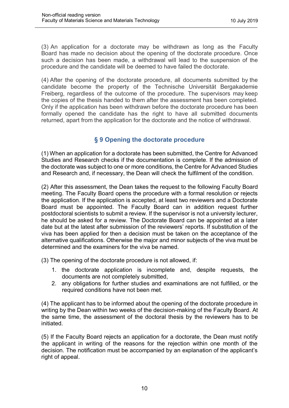(3) An application for a doctorate may be withdrawn as long as the Faculty Board has made no decision about the opening of the doctorate procedure. Once such a decision has been made, a withdrawal will lead to the suspension of the procedure and the candidate will be deemed to have failed the doctorate.

(4) After the opening of the doctorate procedure, all documents submitted by the candidate become the property of the Technische Universität Bergakademie Freiberg, regardless of the outcome of the procedure. The supervisors may keep the copies of the thesis handed to them after the assessment has been completed. Only if the application has been withdrawn before the doctorate procedure has been formally opened the candidate has the right to have all submitted documents returned, apart from the application for the doctorate and the notice of withdrawal.

#### **§ 9 Opening the doctorate procedure**

<span id="page-8-0"></span>(1) When an application for a doctorate has been submitted, the Centre for Advanced Studies and Research checks if the documentation is complete. If the admission of the doctorate was subject to one or more conditions, the Centre for Advanced Studies and Research and, if necessary, the Dean will check the fulfilment of the condition.

(2) After this assessment, the Dean takes the request to the following Faculty Board meeting. The Faculty Board opens the procedure with a formal resolution or rejects the application. If the application is accepted, at least two reviewers and a Doctorate Board must be appointed. The Faculty Board can in addition request further postdoctoral scientists to submit a review. If the supervisor is not a university lecturer, he should be asked for a review. The Doctorate Board can be appointed at a later date but at the latest after submission of the reviewers' reports. If substitution of the viva has been applied for then a decision must be taken on the acceptance of the alternative qualifications. Otherwise the major and minor subjects of the viva must be determined and the examiners for the viva be named.

(3) The opening of the doctorate procedure is not allowed, if:

- 1. the doctorate application is incomplete and, despite requests, the documents are not completely submitted,
- 2. any obligations for further studies and examinations are not fulfilled, or the required conditions have not been met.

(4) The applicant has to be informed about the opening of the doctorate procedure in writing by the Dean within two weeks of the decision-making of the Faculty Board. At the same time, the assessment of the doctoral thesis by the reviewers has to be initiated.

(5) If the Faculty Board rejects an application for a doctorate, the Dean must notify the applicant in writing of the reasons for the rejection within one month of the decision. The notification must be accompanied by an explanation of the applicant's right of appeal.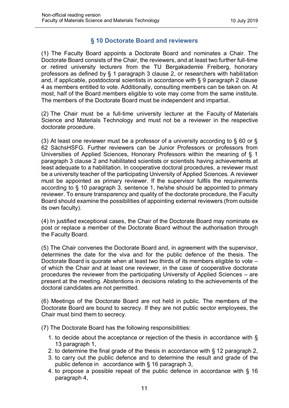#### **§ 10 Doctorate Board and reviewers**

<span id="page-9-0"></span>(1) The Faculty Board appoints a Doctorate Board and nominates a Chair. The Doctorate Board consists of the Chair, the reviewers, and at least two further full-time or retired university lecturers from the TU Bergakademie Freiberg, honorary professors as defined by § 1 paragraph 3 clause 2, or researchers with habilitation and, if applicable, postdoctoral scientists in accordance with § 9 paragraph 2 clause 4 as members entitled to vote. Additionally, consulting members can be taken on. At most, half of the Board members eligible to vote may come from the same institute. The members of the Doctorate Board must be independent and impartial.

(2) The Chair must be a full-time university lecturer at the Faculty of Materials Science and Materials Technology and must not be a reviewer in the respective doctorate procedure.

(3) At least one reviewer must be a professor of a university according to § 60 or § 62 SächsHSFG. Further reviewers can be Junior Professors or professors from Universities of Applied Sciences, Honorary Professors within the meaning of § 1 paragraph 3 clause 2 and habilitated scientists or scientists having achievements at least adequate to a habilitation. In cooperative doctoral procedures, a reviewer must be a university teacher of the participating University of Applied Sciences. A reviewer must be appointed as primary reviewer. If the supervisor fulfils the requirements according to § 10 paragraph 3, sentence 1, he/she should be appointed to primary reviewer. To ensure transparency and quality of the doctorate procedure, the Faculty Board should examine the possibilities of appointing external reviewers (from outside its own faculty).

(4) In justified exceptional cases, the Chair of the Doctorate Board may nominate ex post or replace a member of the Doctorate Board without the authorisation through the Faculty Board.

(5) The Chair convenes the Doctorate Board and, in agreement with the supervisor, determines the date for the viva and for the public defence of the thesis. The Doctorate Board is quorate when at least two thirds of its members eligible to vote – of which the Chair and at least one reviewer, in the case of cooperative doctorate procedures the reviewer from the participating University of Applied Sciences – are present at the meeting. Abstentions in decisions relating to the achievements of the doctoral candidates are not permitted.

(6) Meetings of the Doctorate Board are not held in public. The members of the Doctorate Board are bound to secrecy. If they are not public sector employees, the Chair must bind them to secrecy.

(7) The Doctorate Board has the following responsibilities:

- 1. to decide about the acceptance or rejection of the thesis in accordance with § 13 paragraph 1,
- 2. to determine the final grade of the thesis in accordance with § 12 paragraph 2,
- 3. to carry out the public defence and to determine the result and grade of the public defence in accordance with § 16 paragraph 3,
- 4. to propose a possible repeat of the public defence in accordance with § 16 paragraph 4,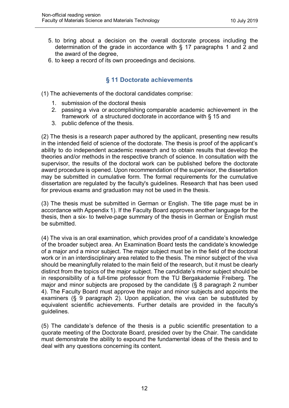- 5. to bring about a decision on the overall doctorate process including the determination of the grade in accordance with § 17 paragraphs 1 and 2 and the award of the degree,
- 6. to keep a record of its own proceedings and decisions.

#### **§ 11 Doctorate achievements**

- <span id="page-10-0"></span>(1) The achievements of the doctoral candidates comprise:
	- 1. submission of the doctoral thesis
	- 2. passing a viva or accomplishing comparable academic achievement in the framework of a structured doctorate in accordance with § 15 and
	- 3. public defence of the thesis.

(2) The thesis is a research paper authored by the applicant, presenting new results in the intended field of science of the doctorate. The thesis is proof of the applicant's ability to do independent academic research and to obtain results that develop the theories and/or methods in the respective branch of science. In consultation with the supervisor, the results of the doctoral work can be published before the doctorate award procedure is opened. Upon recommendation of the supervisor, the dissertation may be submitted in cumulative form. The formal requirements for the cumulative dissertation are regulated by the faculty's guidelines. Research that has been used for previous exams and graduation may not be used in the thesis.

(3) The thesis must be submitted in German or English. The title page must be in accordance with Appendix 1). If the Faculty Board approves another language for the thesis, then a six- to twelve-page summary of the thesis in German or English must be submitted.

(4) The viva is an oral examination, which provides proof of a candidate's knowledge of the broader subject area. An Examination Board tests the candidate's knowledge of a major and a minor subject. The major subject must be in the field of the doctoral work or in an interdisciplinary area related to the thesis. The minor subject of the viva should be meaningfully related to the main field of the research, but it must be clearly distinct from the topics of the major subject. The candidate's minor subject should be in responsibility of a full-time professor from the TU Bergakademie Freiberg. The major and minor subjects are proposed by the candidate (§ 8 paragraph 2 number 4). The Faculty Board must approve the major and minor subjects and appoints the examiners (§ 9 paragraph 2). Upon application, the viva can be substituted by equivalent scientific achievements. Further details are provided in the faculty's guidelines.

(5) The candidate's defence of the thesis is a public scientific presentation to a quorate meeting of the Doctorate Board, presided over by the Chair. The candidate must demonstrate the ability to expound the fundamental ideas of the thesis and to deal with any questions concerning its content.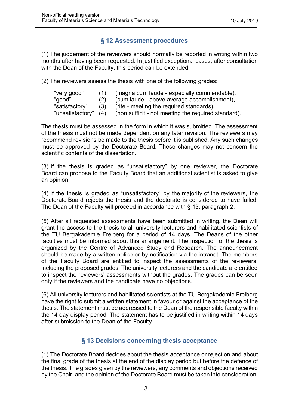#### **§ 12 Assessment procedures**

<span id="page-11-0"></span>(1) The judgement of the reviewers should normally be reported in writing within two months after having been requested. In justified exceptional cases, after consultation with the Dean of the Faculty, this period can be extended.

(2) The reviewers assess the thesis with one of the following grades:

| "very good"          |     | (magna cum laude - especially commendable),         |
|----------------------|-----|-----------------------------------------------------|
| "good"               | (2) | (cum laude - above average accomplishment),         |
| "satisfactory"       | (3) | (rite - meeting the required standards),            |
| "unsatisfactory" (4) |     | (non sufficit - not meeting the required standard). |

The thesis must be assessed in the form in which it was submitted. The assessment of the thesis must not be made dependent on any later revision. The reviewers may recommend revisions be made to the thesis before it is published. Any such changes must be approved by the Doctorate Board. These changes may not concern the scientific contents of the dissertation.

(3) If the thesis is graded as "unsatisfactory" by one reviewer, the Doctorate Board can propose to the Faculty Board that an additional scientist is asked to give an opinion.

(4) If the thesis is graded as "unsatisfactory" by the majority of the reviewers, the Doctorate Board rejects the thesis and the doctorate is considered to have failed. The Dean of the Faculty will proceed in accordance with § 13, paragraph 2.

(5) After all requested assessments have been submitted in writing, the Dean will grant the access to the thesis to all university lecturers and habilitated scientists of the TU Bergakademie Freiberg for a period of 14 days. The Deans of the other faculties must be informed about this arrangement. The inspection of the thesis is organized by the Centre of Advanced Study and Research. The announcement should be made by a written notice or by notification via the intranet. The members of the Faculty Board are entitled to inspect the assessments of the reviewers, including the proposed grades. The university lecturers and the candidate are entitled to inspect the reviewers' assessments without the grades. The grades can be seen only if the reviewers and the candidate have no objections.

(6) All university lecturers and habilitated scientists at the TU Bergakademie Freiberg have the right to submit a written statement in favour or against the acceptance of the thesis. The statement must be addressed to the Dean of the responsible faculty within the 14 day display period. The statement has to be justified in writing within 14 days after submission to the Dean of the Faculty.

#### **§ 13 Decisions concerning thesis acceptance**

<span id="page-11-1"></span>(1) The Doctorate Board decides about the thesis acceptance or rejection and about the final grade of the thesis at the end of the display period but before the defence of the thesis. The grades given by the reviewers, any comments and objections received by the Chair, and the opinion of the Doctorate Board must be taken into consideration.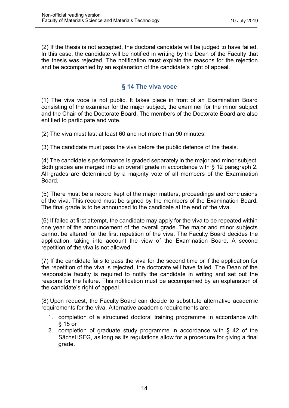(2) If the thesis is not accepted, the doctoral candidate will be judged to have failed. In this case, the candidate will be notified in writing by the Dean of the Faculty that the thesis was rejected. The notification must explain the reasons for the rejection and be accompanied by an explanation of the candidate's right of appeal.

#### **§ 14 The viva voce**

<span id="page-12-0"></span>(1) The viva voce is not public. It takes place in front of an Examination Board consisting of the examiner for the major subject, the examiner for the minor subject and the Chair of the Doctorate Board. The members of the Doctorate Board are also entitled to participate and vote.

(2) The viva must last at least 60 and not more than 90 minutes.

(3) The candidate must pass the viva before the public defence of the thesis.

(4) The candidate's performance is graded separately in the major and minor subject. Both grades are merged into an overall grade in accordance with § 12 paragraph 2. All grades are determined by a majority vote of all members of the Examination Board.

(5) There must be a record kept of the major matters, proceedings and conclusions of the viva. This record must be signed by the members of the Examination Board. The final grade is to be announced to the candidate at the end of the viva.

(6) If failed at first attempt, the candidate may apply for the viva to be repeated within one year of the announcement of the overall grade. The major and minor subjects cannot be altered for the first repetition of the viva. The Faculty Board decides the application, taking into account the view of the Examination Board. A second repetition of the viva is not allowed.

(7) If the candidate fails to pass the viva for the second time or if the application for the repetition of the viva is rejected, the doctorate will have failed. The Dean of the responsible faculty is required to notify the candidate in writing and set out the reasons for the failure. This notification must be accompanied by an explanation of the candidate's right of appeal.

(8) Upon request, the Faculty Board can decide to substitute alternative academic requirements for the viva. Alternative academic requirements are:

- 1. completion of a structured doctoral training programme in accordance with § 15 or
- 2. completion of graduate study programme in accordance with § 42 of the SächsHSFG, as long as its regulations allow for a procedure for giving a final grade.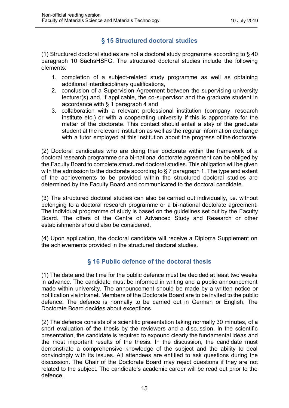#### **§ 15 Structured doctoral studies**

<span id="page-13-0"></span>(1) Structured doctoral studies are not a doctoral study programme according to § 40 paragraph 10 SächsHSFG. The structured doctoral studies include the following elements:

- 1. completion of a subject-related study programme as well as obtaining additional interdisciplinary qualifications,
- 2. conclusion of a Supervision Agreement between the supervising university lecturer(s) and, if applicable, the co-supervisor and the graduate student in accordance with § 1 paragraph 4 and
- 3. collaboration with a relevant professional institution (company, research institute etc.) or with a cooperating university if this is appropriate for the matter of the doctorate. This contact should entail a stay of the graduate student at the relevant institution as well as the regular information exchange with a tutor employed at this institution about the progress of the doctorate.

(2) Doctoral candidates who are doing their doctorate within the framework of a doctoral research programme or a bi-national doctorate agreement can be obliged by the Faculty Board to complete structured doctoral studies. This obligation will be given with the admission to the doctorate according to § 7 paragraph 1. The type and extent of the achievements to be provided within the structured doctoral studies are determined by the Faculty Board and communicated to the doctoral candidate.

(3) The structured doctoral studies can also be carried out individually, i.e. without belonging to a doctoral research programme or a bi-national doctorate agreement. The individual programme of study is based on the guidelines set out by the Faculty Board. The offers of the Centre of Advanced Study and Research or other establishments should also be considered.

(4) Upon application, the doctoral candidate will receive a Diploma Supplement on the achievements provided in the structured doctoral studies.

#### **§ 16 Public defence of the doctoral thesis**

<span id="page-13-1"></span>(1) The date and the time for the public defence must be decided at least two weeks in advance. The candidate must be informed in writing and a public announcement made within university. The announcement should be made by a written notice or notification via intranet. Members of the Doctorate Board are to be invited to the public defence. The defence is normally to be carried out in German or English. The Doctorate Board decides about exceptions.

(2) The defence consists of a scientific presentation taking normally 30 minutes, of a short evaluation of the thesis by the reviewers and a discussion. In the scientific presentation, the candidate is required to expound clearly the fundamental ideas and the most important results of the thesis. In the discussion, the candidate must demonstrate a comprehensive knowledge of the subject and the ability to deal convincingly with its issues. All attendees are entitled to ask questions during the discussion. The Chair of the Doctorate Board may reject questions if they are not related to the subject. The candidate's academic career will be read out prior to the defence.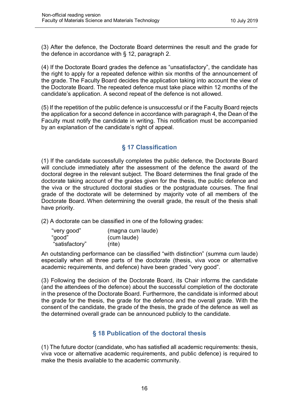(3) After the defence, the Doctorate Board determines the result and the grade for the defence in accordance with § 12, paragraph 2.

(4) If the Doctorate Board grades the defence as "unsatisfactory", the candidate has the right to apply for a repeated defence within six months of the announcement of the grade. The Faculty Board decides the application taking into account the view of the Doctorate Board. The repeated defence must take place within 12 months of the candidate's application. A second repeat of the defence is not allowed.

(5) If the repetition of the public defence is unsuccessful or if the Faculty Board rejects the application for a second defence in accordance with paragraph 4, the Dean of the Faculty must notify the candidate in writing. This notification must be accompanied by an explanation of the candidate's right of appeal.

#### **§ 17 Classification**

<span id="page-14-0"></span>(1) If the candidate successfully completes the public defence, the Doctorate Board will conclude immediately after the assessment of the defence the award of the doctoral degree in the relevant subject. The Board determines the final grade of the doctorate taking account of the grades given for the thesis, the public defence and the viva or the structured doctoral studies or the postgraduate courses. The final grade of the doctorate will be determined by majority vote of all members of the Doctorate Board. When determining the overall grade, the result of the thesis shall have priority.

(2) A doctorate can be classified in one of the following grades:

| "very good"    | (magna cum laude) |
|----------------|-------------------|
| "good"         | (cum laude)       |
| "satisfactory" | (rite)            |

An outstanding performance can be classified "with distinction" (summa cum laude) especially when all three parts of the doctorate (thesis, viva voce or alternative academic requirements, and defence) have been graded "very good".

(3) Following the decision of the Doctorate Board, its Chair informs the candidate (and the attendees of the defence) about the successful completion of the doctorate in the presence of the Doctorate Board. Furthermore, the candidate is informed about the grade for the thesis, the grade for the defence and the overall grade. With the consent of the candidate, the grade of the thesis, the grade of the defence as well as the determined overall grade can be announced publicly to the candidate.

#### **§ 18 Publication of the doctoral thesis**

<span id="page-14-1"></span>(1) The future doctor (candidate, who has satisfied all academic requirements: thesis, viva voce or alternative academic requirements, and public defence) is required to make the thesis available to the academic community.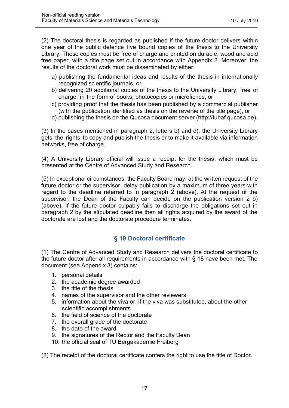(2) The doctoral thesis is regarded as published if the future doctor delivers within one year of the public defence five bound copies of the thesis to the University Library. These copies must be free of charge and printed on durable, wood and acid free paper, with a title page set out in accordance with Appendix 2. Moreover, the results of the doctoral work must be disseminated by either:

- a) publishing the fundamental ideas and results of the thesis in internationally recognized scientific journals, or
- b) delivering 20 additional copies of the thesis to the University Library, free of charge, in the form of books, photocopies or microfiches, or
- c) providing proof that the thesis has been published by a commercial publisher (with the publication identified as thesis on the reverse of the title page), or
- d) publishing the thesis on the Qucosa document server (http://tubaf.qucosa.de).

(3) In the cases mentioned in paragraph 2, letters b) and d), the University Library gets the rights to copy and publish the thesis or to make it available via information networks, free of charge.

(4) A University Library official will issue a receipt for the thesis, which must be presented at the Centre of Advanced Study and Research.

(5) In exceptional circumstances, the Faculty Board may, at the written request of the future doctor or the supervisor, delay publication by a maximum of three years with regard to the deadline referred to in paragraph 2 (above). At the request of the supervisor, the Dean of the Faculty can decide on the publication version 2 b) (above). If the future doctor culpably fails to discharge the obligations set out in paragraph 2 by the stipulated deadline then all rights acquired by the award of the doctorate are lost and the doctorate procedure terminates.

#### **§ 19 Doctoral certificate**

<span id="page-15-0"></span>(1) The Centre of Advanced Study and Research delivers the doctoral certificate to the future doctor after all requirements in accordance with § 18 have been met. The document (see Appendix 3) contains:

- 1. personal details
- 2. the academic degree awarded
- 3. the title of the thesis
- 4. names of the supervisor and the other reviewers
- 5. information about the viva or, if the viva was substituted, about the other scientific accomplishments
- 6. the field of science of the doctorate
- 7. the overall grade of the doctorate
- 8. the date of the award
- 9. the signatures of the Rector and the Faculty Dean
- 10. the official seal of TU Bergakademie Freiberg

(2) The receipt of the doctoral certificate confers the right to use the title of Doctor.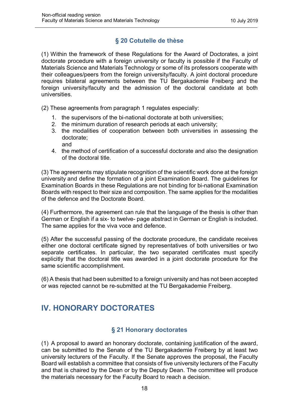#### **§ 20 Cotutelle de thèse**

<span id="page-16-0"></span>(1) Within the framework of these Regulations for the Award of Doctorates, a joint doctorate procedure with a foreign university or faculty is possible if the Faculty of Materials Science and Materials Technology or some of its professors cooperate with their colleagues/peers from the foreign university/faculty. A joint doctoral procedure requires bilateral agreements between the TU Bergakademie Freiberg and the foreign university/faculty and the admission of the doctoral candidate at both universities.

(2) These agreements from paragraph 1 regulates especially:

- 1. the supervisors of the bi-national doctorate at both universities;
- 2. the minimum duration of research periods at each university;
- 3. the modalities of cooperation between both universities in assessing the doctorate; and
- 4. the method of certification of a successful doctorate and also the designation of the doctoral title.

(3) The agreements may stipulate recognition of the scientific work done at the foreign university and define the formation of a joint Examination Board. The guidelines for Examination Boards in these Regulations are not binding for bi-national Examination Boards with respect to their size and composition. The same applies for the modalities of the defence and the Doctorate Board.

(4) Furthermore, the agreement can rule that the language of the thesis is other than German or English if a six- to twelve- page abstract in German or English is included. The same applies for the viva voce and defence.

(5) After the successful passing of the doctorate procedure, the candidate receives either one doctoral certificate signed by representatives of both universities or two separate certificates. In particular, the two separated certificates must specify explicitly that the doctoral title was awarded in a joint doctorate procedure for the same scientific accomplishment.

(6) A thesis that had been submitted to a foreign university and has not been accepted or was rejected cannot be re-submitted at the TU Bergakademie Freiberg.

# <span id="page-16-1"></span>**IV. HONORARY DOCTORATES**

#### **§ 21 Honorary doctorates**

<span id="page-16-2"></span>(1) A proposal to award an honorary doctorate, containing justification of the award, can be submitted to the Senate of the TU Bergakademie Freiberg by at least two university lecturers of the Faculty. If the Senate approves the proposal, the Faculty Board will establish a committee that consists of five university lecturers of the Faculty and that is chaired by the Dean or by the Deputy Dean. The committee will produce the materials necessary for the Faculty Board to reach a decision.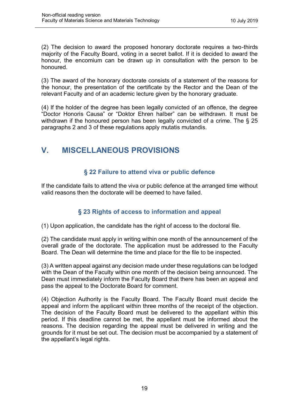(2) The decision to award the proposed honorary doctorate requires a two-thirds majority of the Faculty Board, voting in a secret ballot. If it is decided to award the honour, the encomium can be drawn up in consultation with the person to be honoured.

(3) The award of the honorary doctorate consists of a statement of the reasons for the honour, the presentation of the certificate by the Rector and the Dean of the relevant Faculty and of an academic lecture given by the honorary graduate.

(4) If the holder of the degree has been legally convicted of an offence, the degree "Doctor Honoris Causa" or "Doktor Ehren halber" can be withdrawn. It must be withdrawn if the honoured person has been legally convicted of a crime. The § 25 paragraphs 2 and 3 of these regulations apply mutatis mutandis.

# <span id="page-17-0"></span>**V. MISCELLANEOUS PROVISIONS**

#### **§ 22 Failure to attend viva or public defence**

<span id="page-17-1"></span>If the candidate fails to attend the viva or public defence at the arranged time without valid reasons then the doctorate will be deemed to have failed.

#### **§ 23 Rights of access to information and appeal**

<span id="page-17-2"></span>(1) Upon application, the candidate has the right of access to the doctoral file.

(2) The candidate must apply in writing within one month of the announcement of the overall grade of the doctorate. The application must be addressed to the Faculty Board. The Dean will determine the time and place for the file to be inspected.

(3) A written appeal against any decision made under these regulations can be lodged with the Dean of the Faculty within one month of the decision being announced. The Dean must immediately inform the Faculty Board that there has been an appeal and pass the appeal to the Doctorate Board for comment.

(4) Objection Authority is the Faculty Board. The Faculty Board must decide the appeal and inform the applicant within three months of the receipt of the objection. The decision of the Faculty Board must be delivered to the appellant within this period. If this deadline cannot be met, the appellant must be informed about the reasons. The decision regarding the appeal must be delivered in writing and the grounds for it must be set out. The decision must be accompanied by a statement of the appellant's legal rights.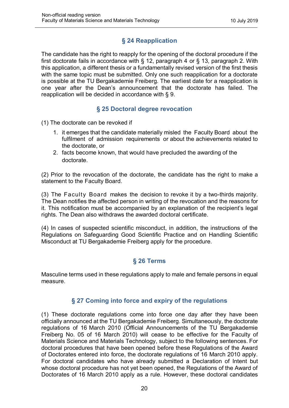#### **§ 24 Reapplication**

<span id="page-18-0"></span>The candidate has the right to reapply for the opening of the doctoral procedure if the first doctorate fails in accordance with § 12, paragraph 4 or § 13, paragraph 2. With this application, a different thesis or a fundamentally revised version of the first thesis with the same topic must be submitted. Only one such reapplication for a doctorate is possible at the TU Bergakademie Freiberg. The earliest date for a reapplication is one year after the Dean's announcement that the doctorate has failed. The reapplication will be decided in accordance with § 9.

#### **§ 25 Doctoral degree revocation**

<span id="page-18-1"></span>(1) The doctorate can be revoked if

- 1. it emerges that the candidate materially misled the Faculty Board about the fulfilment of admission requirements or about the achievements related to the doctorate, or
- 2. facts become known, that would have precluded the awarding of the doctorate.

(2) Prior to the revocation of the doctorate, the candidate has the right to make a statement to the Faculty Board.

(3) The Faculty Board makes the decision to revoke it by a two-thirds majority. The Dean notifies the affected person in writing of the revocation and the reasons for it. This notification must be accompanied by an explanation of the recipient's legal rights. The Dean also withdraws the awarded doctoral certificate.

(4) In cases of suspected scientific misconduct, in addition, the instructions of the Regulations on Safeguarding Good Scientific Practice and on Handling Scientific Misconduct at TU Bergakademie Freiberg apply for the procedure.

#### **§ 26 Terms**

<span id="page-18-2"></span>Masculine terms used in these regulations apply to male and female persons in equal measure.

#### **§ 27 Coming into force and expiry of the regulations**

<span id="page-18-3"></span>(1) These doctorate regulations come into force one day after they have been officially announced at the TU Bergakademie Freiberg. Simultaneously, the doctorate regulations of 16 March 2010 (Official Announcements of the TU Bergakademie Freiberg No. 05 of 16 March 2010) will cease to be effective for the Faculty of Materials Science and Materials Technology, subject to the following sentences. For doctoral procedures that have been opened before these Regulations of the Award of Doctorates entered into force, the doctorate regulations of 16 March 2010 apply. For doctoral candidates who have already submitted a Declaration of Intent but whose doctoral procedure has not yet been opened, the Regulations of the Award of Doctorates of 16 March 2010 apply as a rule. However, these doctoral candidates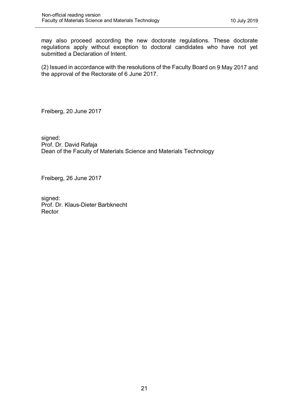may also proceed according the new doctorate regulations. These doctorate regulations apply without exception to doctoral candidates who have not yet submitted a Declaration of Intent.

(2) Issued in accordance with the resolutions of the Faculty Board on 9 May 2017 and the approval of the Rectorate of 6 June 2017.

Freiberg, 20 June 2017

signed: Prof. Dr. David Rafaja Dean of the Faculty of Materials Science and Materials Technology

Freiberg, 26 June 2017

signed: Prof. Dr. Klaus-Dieter Barbknecht Rector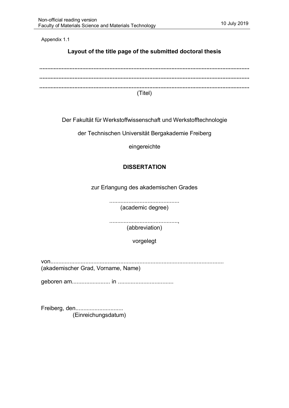Appendix 1.1

#### **Layout of the title page of the submitted doctoral thesis**

| (Titel) |  |
|---------|--|

Der Fakultät für Werkstoffwissenschaft und Werkstofftechnologie

der Technischen Universität Bergakademie Freiberg

eingereichte

#### **DISSERTATION**

zur Erlangung des akademischen Grades

............................................ (academic degree)

..........................................., (abbreviation)

vorgelegt

von.............................................................................................................

(akademischer Grad, Vorname, Name)

geboren am........................ in ...................................

Freiberg, den................................ (Einreichungsdatum)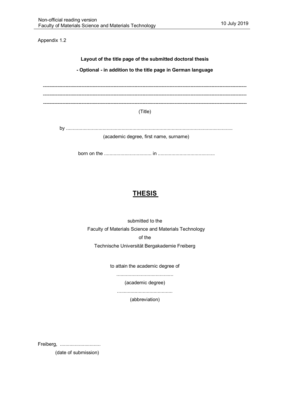Appendix 1.2

**Layout of the title page of the submitted doctoral thesis - Optional - in addition to the title page in German language**

------------------------------------------------------------------------------------------------------------------------------- -------------------------------------------------------------------------------------------------------------------------------

(Title)

by ........................................................................................................................... (academic degree, first name, surname)

born on the ................................... in ..........................................

## **THESIS**

submitted to the Faculty of Materials Science and Materials Technology of the Technische Universität Bergakademie Freiberg

to attain the academic degree of

..........................................

(academic degree)

.........................................

(abbreviation)

Freiberg, .................................

(date of submission)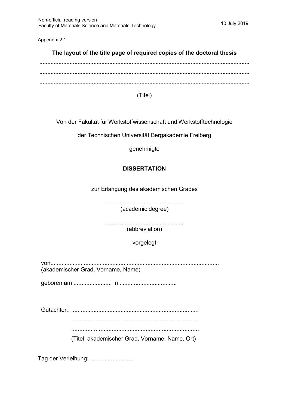Appendix 2.1

#### **The layout of the title page of required copies of the doctoral thesis**

(Titel)

Von der Fakultät für Werkstoffwissenschaft und Werkstofftechnologie

der Technischen Universität Bergakademie Freiberg

genehmigte

#### **DISSERTATION**

zur Erlangung des akademischen Grades

................................................. (academic degree)

................................................, (abbreviation)

vorgelegt

von.......................................................................................................... (akademischer Grad, Vorname, Name)

geboren am ........................ in ....................................

Gutachter.: ................................................................................

................................................................................

...............................................................................

(Titel, akademischer Grad, Vorname, Name, Ort)

Tag der Verleihung: ...........................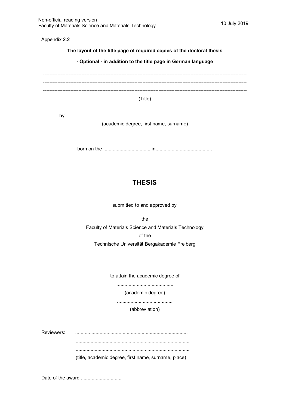Appendix 2.2

**The layout of the title page of required copies of the doctoral thesis**

**- Optional - in addition to the title page in German language**

------------------------------------------------------------------------------------------------------------------------------- ------------------------------------------------------------------------------------------------------------------------------- -------------------------------------------------------------------------------------------------------------------------------

(Title)

by...........................................................................................................................

(academic degree, first name, surname)

born on the ................................... in..........................................

## **THESIS**

submitted to and approved by

the

Faculty of Materials Science and Materials Technology of the

Technische Universität Bergakademie Freiberg

to attain the academic degree of

..........................................

(academic degree)

.........................................

(abbreviation)

Reviewers: ................................................................................... .................................................................................... .................................................................................... (title, academic degree, first name, surname, place)

Date of the award ..............................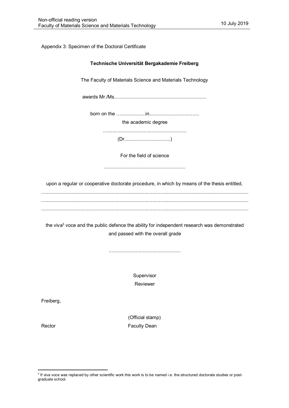#### Appendix 3: Specimen of the Doctoral Certificate

|           | Technische Universität Bergakademie Freiberg                                                                                                 |
|-----------|----------------------------------------------------------------------------------------------------------------------------------------------|
|           | The Faculty of Materials Science and Materials Technology                                                                                    |
|           |                                                                                                                                              |
|           |                                                                                                                                              |
|           | the academic degree                                                                                                                          |
|           |                                                                                                                                              |
|           | For the field of science                                                                                                                     |
|           | upon a regular or cooperative doctorate procedure, in which by means of the thesis entitled,                                                 |
|           | the viva <sup>3</sup> voce and the public defence the ability for independent research was demonstrated<br>and passed with the overall grade |
|           | Supervisor<br>Reviewer                                                                                                                       |
| Freiberg, |                                                                                                                                              |
| Rector    | (Official stamp)<br><b>Faculty Dean</b>                                                                                                      |
|           |                                                                                                                                              |

 3 If viva voce was replaced by other scientific work this work is to be named i.e. the structured doctorate studies or postgraduate school.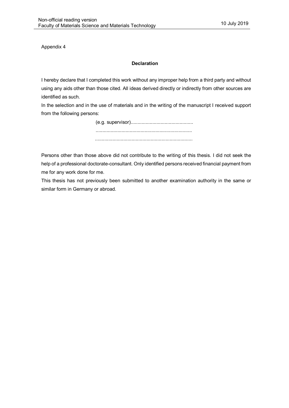Appendix 4

#### **Declaration**

I hereby declare that I completed this work without any improper help from a third party and without using any aids other than those cited. All ideas derived directly or indirectly from other sources are identified as such.

In the selection and in the use of materials and in the writing of the manuscript I received support from the following persons:

> (e.g. supervisor).............................................. ....................................................................... ........................................................................

Persons other than those above did not contribute to the writing of this thesis. I did not seek the help of a professional doctorate-consultant. Only identified persons received financial payment from me for any work done for me.

This thesis has not previously been submitted to another examination authority in the same or similar form in Germany or abroad.